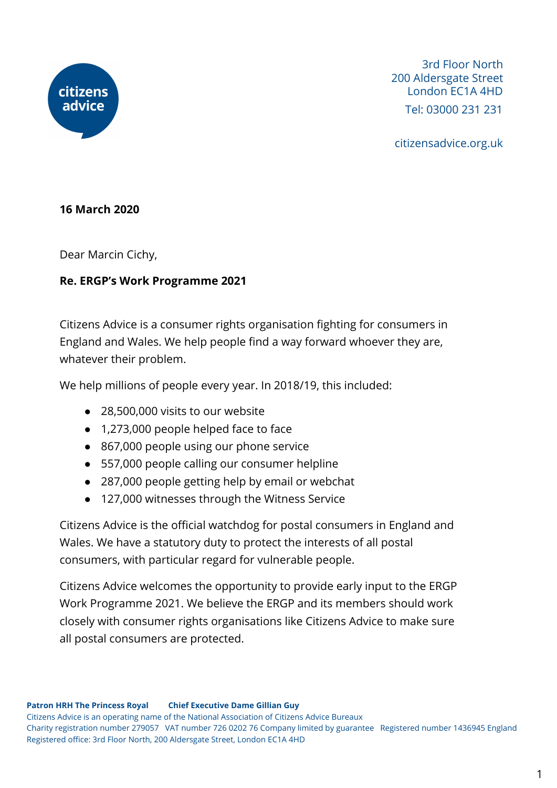

3rd Floor North 200 Aldersgate Street London EC1A 4HD Tel: 03000 231 231

citizensadvice.org.uk

## **16 March 2020**

Dear Marcin Cichy,

## **Re. ERGP's Work Programme 2021**

Citizens Advice is a consumer rights organisation fighting for consumers in England and Wales. We help people find a way forward whoever they are, whatever their problem.

We help millions of people every year. In 2018/19, this included:

- 28,500,000 visits to our website
- 1,273,000 people helped face to face
- 867,000 people using our phone service
- 557,000 people calling our consumer helpline
- 287,000 people getting help by email or webchat
- 127,000 witnesses through the Witness Service

Citizens Advice is the official watchdog for postal consumers in England and Wales. We have a statutory duty to protect the interests of all postal consumers, with particular regard for vulnerable people.

Citizens Advice welcomes the opportunity to provide early input to the ERGP Work Programme 2021. We believe the ERGP and its members should work closely with consumer rights organisations like Citizens Advice to make sure all postal consumers are protected.

Citizens Advice is an operating name of the National Association of Citizens Advice Bureaux Charity registration number 279057 VAT number 726 0202 76 Company limited by guarantee Registered number 1436945 England Registered office: 3rd Floor North, 200 Aldersgate Street, London EC1A 4HD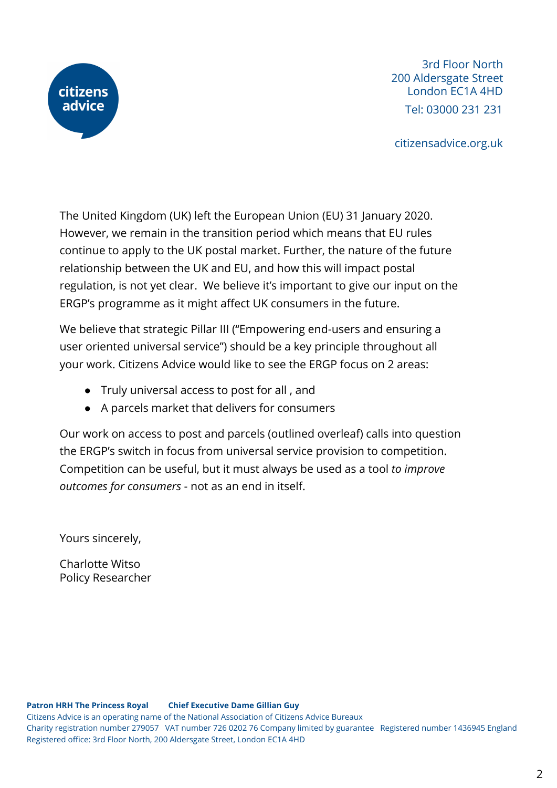

3rd Floor North 200 Aldersgate Street London EC1A 4HD Tel: 03000 231 231

citizensadvice.org.uk

The United Kingdom (UK) left the European Union (EU) 31 January 2020. However, we remain in the transition period which means that EU rules continue to apply to the UK postal market. Further, the nature of the future relationship between the UK and EU, and how this will impact postal regulation, is not yet clear. We believe it's important to give our input on the ERGP's programme as it might affect UK consumers in the future.

We believe that strategic Pillar III ("Empowering end-users and ensuring a user oriented universal service") should be a key principle throughout all your work. Citizens Advice would like to see the ERGP focus on 2 areas:

- Truly universal access to post for all , and
- A parcels market that delivers for consumers

Our work on access to post and parcels (outlined overleaf) calls into question the ERGP's switch in focus from universal service provision to competition. Competition can be useful, but it must always be used as a tool *to improve outcomes for consumers* - not as an end in itself.

Yours sincerely,

Charlotte Witso Policy Researcher

**Patron HRH The Princess Royal Chief Executive Dame Gillian Guy** Citizens Advice is an operating name of the National Association of Citizens Advice Bureaux Charity registration number 279057 VAT number 726 0202 76 Company limited by guarantee Registered number 1436945 England Registered office: 3rd Floor North, 200 Aldersgate Street, London EC1A 4HD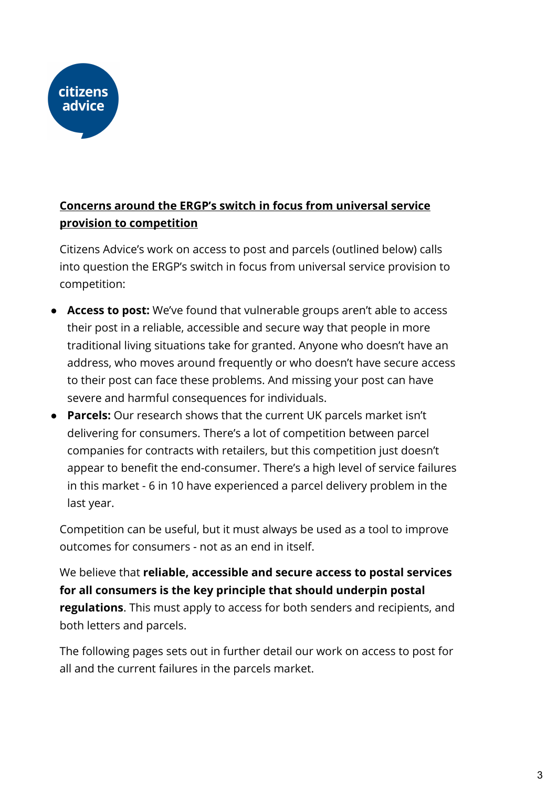

# **Concerns around the ERGP's switch in focus from universal service provision to competition**

Citizens Advice's work on access to post and parcels (outlined below) calls into question the ERGP's switch in focus from universal service provision to competition:

- **Access to post:** We've found that vulnerable groups aren't able to access their post in a reliable, accessible and secure way that people in more traditional living situations take for granted. Anyone who doesn't have an address, who moves around frequently or who doesn't have secure access to their post can face these problems. And missing your post can have severe and harmful consequences for individuals.
- **Parcels:** Our research shows that the current UK parcels market isn't delivering for consumers. There's a lot of competition between parcel companies for contracts with retailers, but this competition just doesn't appear to benefit the end-consumer. There's a high level of service failures in this market - 6 in 10 have experienced a parcel delivery problem in the last year.

Competition can be useful, but it must always be used as a tool to improve outcomes for consumers - not as an end in itself.

We believe that **reliable, accessible and secure access to postal services for all consumers is the key principle that should underpin postal regulations**. This must apply to access for both senders and recipients, and both letters and parcels.

The following pages sets out in further detail our work on access to post for all and the current failures in the parcels market.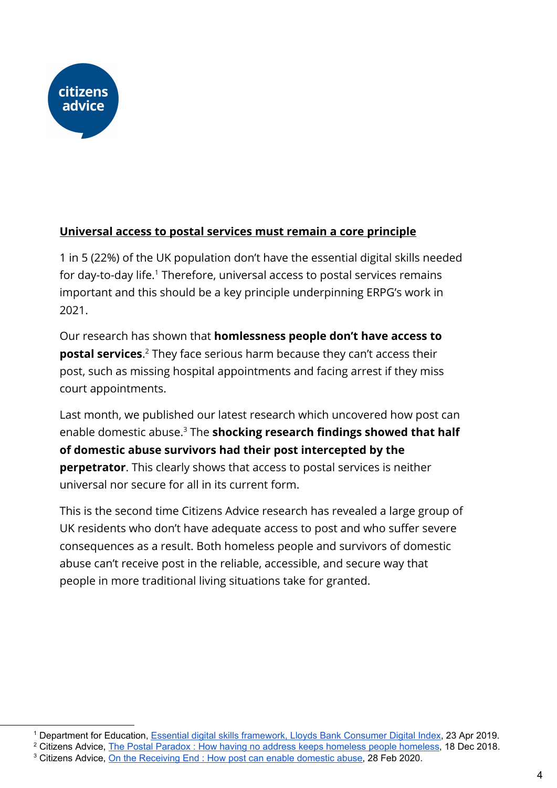

# **Universal access to postal services must remain a core principle**

1 in 5 (22%) of the UK population don't have the essential digital skills needed for day-to-day life.<sup>1</sup> Therefore, universal access to postal services remains important and this should be a key principle underpinning ERPG's work in 2021.

Our research has shown that **homlessness people don't have access to postal services.**<sup>2</sup> They face serious harm because they can't access their post, such as missing hospital appointments and facing arrest if they miss court appointments.

Last month, we published our latest research which uncovered how post can enable domestic abuse.<sup>3</sup> The **shocking research findings showed that half of domestic abuse survivors had their post intercepted by the perpetrator**. This clearly shows that access to postal services is neither universal nor secure for all in its current form.

This is the second time Citizens Advice research has revealed a large group of UK residents who don't have adequate access to post and who suffer severe consequences as a result. Both homeless people and survivors of domestic abuse can't receive post in the reliable, accessible, and secure way that people in more traditional living situations take for granted.

<sup>1</sup> Department for Education, Essential digital skills [framework,](https://www.gov.uk/government/publications/essential-digital-skills-framework/essential-digital-skills-framework) Lloyds Bank Consumer Digital Index, 23 Apr 2019.

<sup>&</sup>lt;sup>2</sup> Citizens Advice, The Postal Paradox : How having no address keeps homeless people [homeless,](https://www.citizensadvice.org.uk/about-us/policy/policy-research-topics/post-policy-research-and-consultation-responses/post-policy-research/the-postal-paradox-how-having-no-address-keeps-people-homeless/) 18 Dec 2018.

<sup>&</sup>lt;sup>3</sup> Citizens Advice, On the [Receiving](https://www.citizensadvice.org.uk/about-us/policy/policy-research-topics/post-policy-research-and-consultation-responses/post-policy-research/on-the-receiving-end-how-post-can-enable-domestic-abuse/) End : How post can enable domestic abuse, 28 Feb 2020.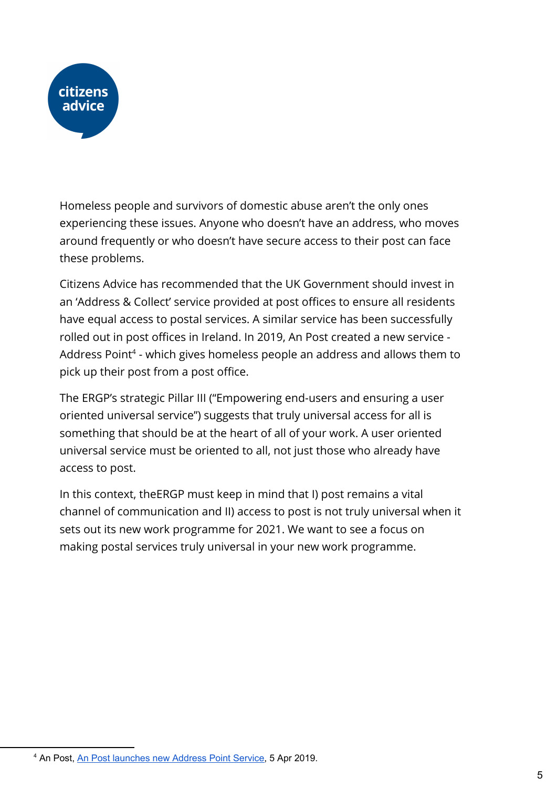

Homeless people and survivors of domestic abuse aren't the only ones experiencing these issues. Anyone who doesn't have an address, who moves around frequently or who doesn't have secure access to their post can face these problems.

Citizens Advice has recommended that the UK Government should invest in an 'Address & Collect' service provided at post offices to ensure all residents have equal access to postal services. A similar service has been successfully rolled out in post offices in Ireland. In 2019, An Post created a new service - Address Point<sup>4</sup> - which gives homeless people an address and allows them to pick up their post from a post office.

The ERGP's strategic Pillar III ("Empowering end-users and ensuring a user oriented universal service") suggests that truly universal access for all is something that should be at the heart of all of your work. A user oriented universal service must be oriented to all, not just those who already have access to post.

In this context, theERGP must keep in mind that I) post remains a vital channel of communication and II) access to post is not truly universal when it sets out its new work programme for 2021. We want to see a focus on making postal services truly universal in your new work programme.

<sup>4</sup> An Post, An Post [launches](https://www.anpost.com/Media-Centre/News/An-Post-launches-new-Address-Point-Service) new Address Point Service, 5 Apr 2019.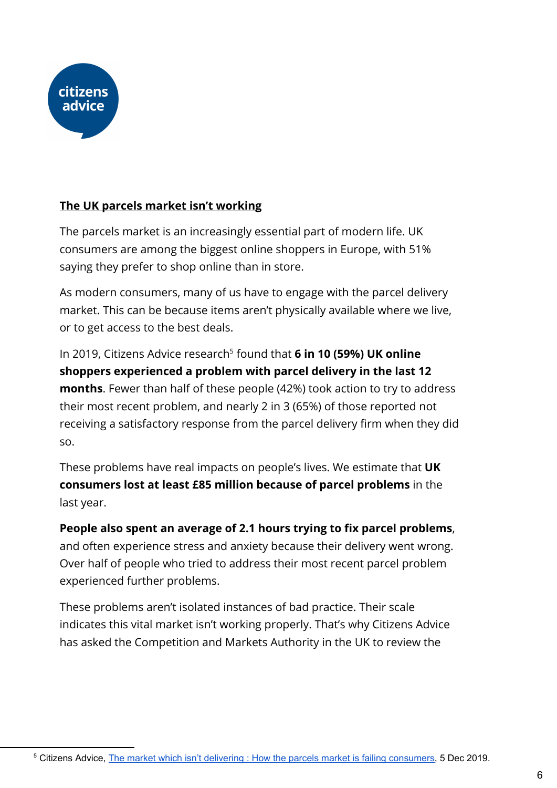

# **The UK parcels market isn't working**

The parcels market is an increasingly essential part of modern life. UK consumers are among the biggest online shoppers in Europe, with 51% saying they prefer to shop online than in store.

As modern consumers, many of us have to engage with the parcel delivery market. This can be because items aren't physically available where we live, or to get access to the best deals.

In 2019, Citizens Advice research<sup>5</sup> found that **6 in 10 (59%) UK online shoppers experienced a problem with parcel delivery in the last 12 months**. Fewer than half of these people (42%) took action to try to address their most recent problem, and nearly 2 in 3 (65%) of those reported not receiving a satisfactory response from the parcel delivery firm when they did so.

These problems have real impacts on people's lives. We estimate that **UK consumers lost at least £85 million because of parcel problems** in the last year.

**People also spent an average of 2.1 hours trying to fix parcel problems**, and often experience stress and anxiety because their delivery went wrong. Over half of people who tried to address their most recent parcel problem experienced further problems.

These problems aren't isolated instances of bad practice. Their scale indicates this vital market isn't working properly. That's why Citizens Advice has asked the Competition and Markets Authority in the UK to review the